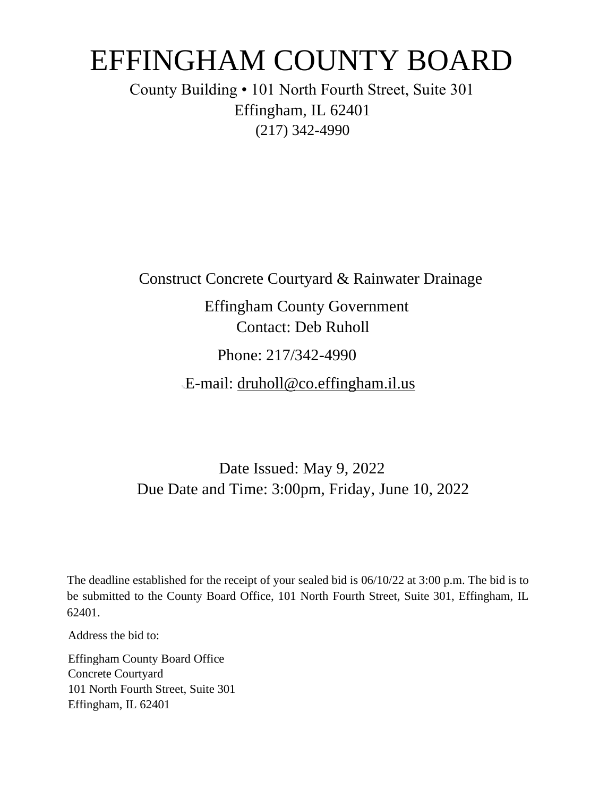# EFFINGHAM COUNTY BOARD

County Building • 101 North Fourth Street, Suite 301 Effingham, IL 62401 (217) 342-4990

Construct Concrete Courtyard & Rainwater Drainage

Effingham County Government Contact: Deb Ruholl

Phone: 217/342-4990

E-mail: druholl@co.effingham.il.us

Date Issued: May 9, 2022 Due Date and Time: 3:00pm, Friday, June 10, 2022

The deadline established for the receipt of your sealed bid is 06/10/22 at 3:00 p.m. The bid is to be submitted to the County Board Office, 101 North Fourth Street, Suite 301, Effingham, IL 62401.

Address the bid to:

Effingham County Board Office Concrete Courtyard 101 North Fourth Street, Suite 301 Effingham, IL 62401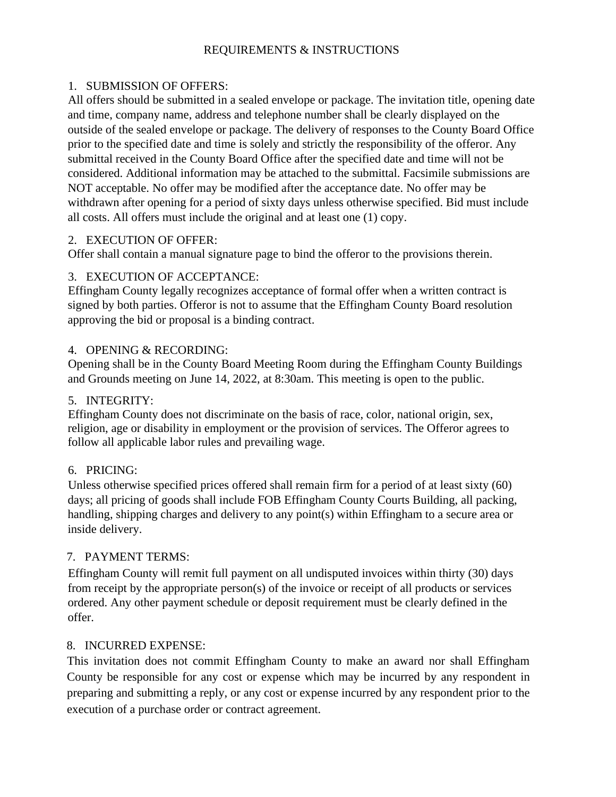## REQUIREMENTS & INSTRUCTIONS

#### 1. SUBMISSION OF OFFERS:

All offers should be submitted in a sealed envelope or package. The invitation title, opening date and time, company name, address and telephone number shall be clearly displayed on the outside of the sealed envelope or package. The delivery of responses to the County Board Office prior to the specified date and time is solely and strictly the responsibility of the offeror. Any submittal received in the County Board Office after the specified date and time will not be considered. Additional information may be attached to the submittal. Facsimile submissions are NOT acceptable. No offer may be modified after the acceptance date. No offer may be withdrawn after opening for a period of sixty days unless otherwise specified. Bid must include all costs. All offers must include the original and at least one (1) copy.

#### 2. EXECUTION OF OFFER:

Offer shall contain a manual signature page to bind the offeror to the provisions therein.

## 3. EXECUTION OF ACCEPTANCE:

Effingham County legally recognizes acceptance of formal offer when a written contract is signed by both parties. Offeror is not to assume that the Effingham County Board resolution approving the bid or proposal is a binding contract.

#### 4. OPENING & RECORDING:

Opening shall be in the County Board Meeting Room during the Effingham County Buildings and Grounds meeting on June 14, 2022, at 8:30am. This meeting is open to the public.

## 5. INTEGRITY:

Effingham County does not discriminate on the basis of race, color, national origin, sex, religion, age or disability in employment or the provision of services. The Offeror agrees to follow all applicable labor rules and prevailing wage.

## 6. PRICING:

Unless otherwise specified prices offered shall remain firm for a period of at least sixty (60) days; all pricing of goods shall include FOB Effingham County Courts Building, all packing, handling, shipping charges and delivery to any point(s) within Effingham to a secure area or inside delivery.

## 7. PAYMENT TERMS:

Effingham County will remit full payment on all undisputed invoices within thirty (30) days from receipt by the appropriate person(s) of the invoice or receipt of all products or services ordered. Any other payment schedule or deposit requirement must be clearly defined in the offer.

## 8. INCURRED EXPENSE:

This invitation does not commit Effingham County to make an award nor shall Effingham County be responsible for any cost or expense which may be incurred by any respondent in preparing and submitting a reply, or any cost or expense incurred by any respondent prior to the execution of a purchase order or contract agreement.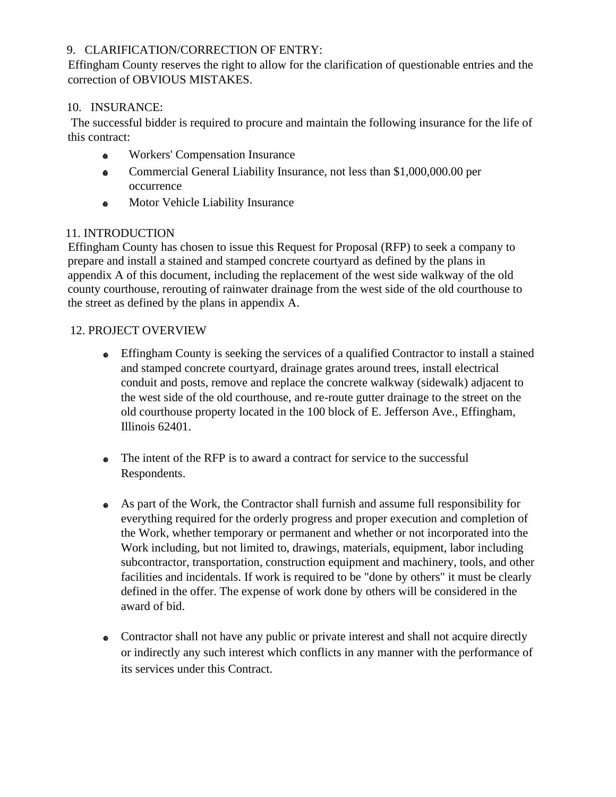# 9. CLARIFICATION/CORRECTION OF ENTRY:

Effingham County reserves the right to allow for the clarification of questionable entries and the correction of OBVIOUS MISTAKES.

# 10. INSURANCE:

The successful bidder is required to procure and maintain the following insurance for the life of this contract:

- Workers' Compensation Insurance  $\bullet$
- Commercial General Liability Insurance, not less than \$1,000,000.00 per  $\bullet$ occurrence
- Motor Vehicle Liability Insurance a.

# 11. INTRODUCTION

Effingham County has chosen to issue this Request for Proposal (RFP) to seek a company to prepare and install a stained and stamped concrete courtyard as defined by the plans in appendix A of this document, including the replacement of the west side walkway of the old county courthouse, rerouting of rainwater drainage from the west side of the old courthouse to the street as defined by the plans in appendix A.

# 12. PROJECT OVERVIEW

- Effingham County is seeking the services of a qualified Contractor to install a stained and stamped concrete courtyard, drainage grates around trees, install electrical conduit and posts, remove and replace the concrete walkway (sidewalk) adjacent to the west side of the old courthouse, and re-route gutter drainage to the street on the old courthouse property located in the 100 block of E. Jefferson Ave., Effingham, Illinois 62401.
- The intent of the RFP is to award a contract for service to the successful ● Respondents.
- As part of the Work, the Contractor shall furnish and assume full responsibility for everything required for the orderly progress and proper execution and completion of the Work, whether temporary or permanent and whether or not incorporated into the Work including, but not limited to, drawings, materials, equipment, labor including subcontractor, transportation, construction equipment and machinery, tools, and other facilities and incidentals. If work is required to be "done by others" it must be clearly defined in the offer. The expense of work done by others will be considered in the award of bid.
- Contractor shall not have any public or private interest and shall not acquire directly or indirectly any such interest which conflicts in any manner with the performance of its services under this Contract.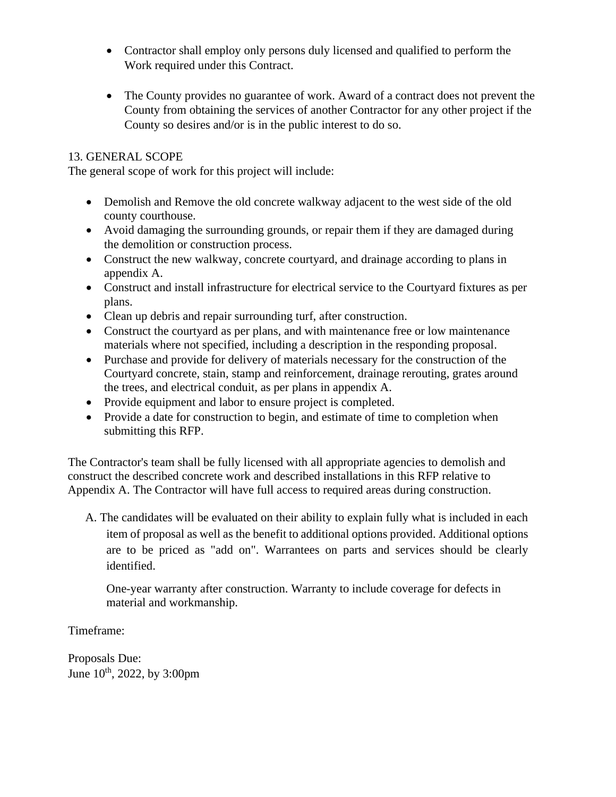- Contractor shall employ only persons duly licensed and qualified to perform the Work required under this Contract.
- The County provides no guarantee of work. Award of a contract does not prevent the County from obtaining the services of another Contractor for any other project if the County so desires and/or is in the public interest to do so.

## 13. GENERAL SCOPE

The general scope of work for this project will include:

- Demolish and Remove the old concrete walkway adjacent to the west side of the old county courthouse.
- Avoid damaging the surrounding grounds, or repair them if they are damaged during the demolition or construction process.
- Construct the new walkway, concrete courtyard, and drainage according to plans in appendix A.
- Construct and install infrastructure for electrical service to the Courtyard fixtures as per plans.
- Clean up debris and repair surrounding turf, after construction.
- Construct the courtyard as per plans, and with maintenance free or low maintenance materials where not specified, including a description in the responding proposal.
- Purchase and provide for delivery of materials necessary for the construction of the Courtyard concrete, stain, stamp and reinforcement, drainage rerouting, grates around the trees, and electrical conduit, as per plans in appendix A.
- Provide equipment and labor to ensure project is completed.
- Provide a date for construction to begin, and estimate of time to completion when submitting this RFP.

The Contractor's team shall be fully licensed with all appropriate agencies to demolish and construct the described concrete work and described installations in this RFP relative to Appendix A. The Contractor will have full access to required areas during construction.

A. The candidates will be evaluated on their ability to explain fully what is included in each item of proposal as well as the benefit to additional options provided. Additional options are to be priced as "add on". Warrantees on parts and services should be clearly identified.

One-year warranty after construction. Warranty to include coverage for defects in material and workmanship.

Timeframe:

Proposals Due: June 10<sup>th</sup>, 2022, by 3:00pm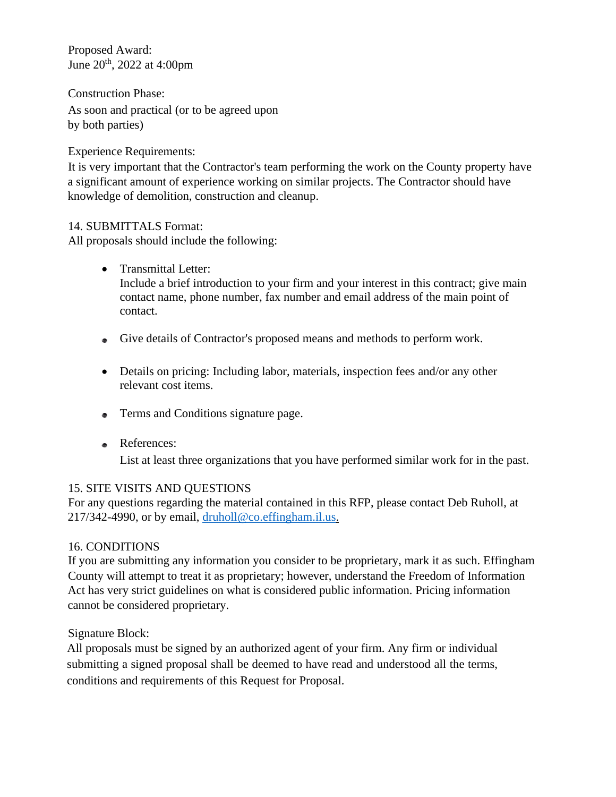Proposed Award: June 20th, 2022 at 4:00pm

Construction Phase:

As soon and practical (or to be agreed upon by both parties)

Experience Requirements:

It is very important that the Contractor's team performing the work on the County property have a significant amount of experience working on similar projects. The Contractor should have knowledge of demolition, construction and cleanup.

# 14. SUBMITTALS Format:

All proposals should include the following:

- Transmittal Letter: Include a brief introduction to your firm and your interest in this contract; give main contact name, phone number, fax number and email address of the main point of contact.
- Give details of Contractor's proposed means and methods to perform work.
- Details on pricing: Including labor, materials, inspection fees and/or any other relevant cost items.
- Terms and Conditions signature page.
- References:

List at least three organizations that you have performed similar work for in the past.

## 15. SITE VISITS AND QUESTIONS

For any questions regarding the material contained in this RFP, please contact Deb Ruholl, at 217/342-4990, or by email, [druholl@co.effingham.il.us.](mailto:druholl@co.effingham.il.us)

# 16. CONDITIONS

If you are submitting any information you consider to be proprietary, mark it as such. Effingham County will attempt to treat it as proprietary; however, understand the Freedom of Information Act has very strict guidelines on what is considered public information. Pricing information cannot be considered proprietary.

Signature Block:

All proposals must be signed by an authorized agent of your firm. Any firm or individual submitting a signed proposal shall be deemed to have read and understood all the terms, conditions and requirements of this Request for Proposal.